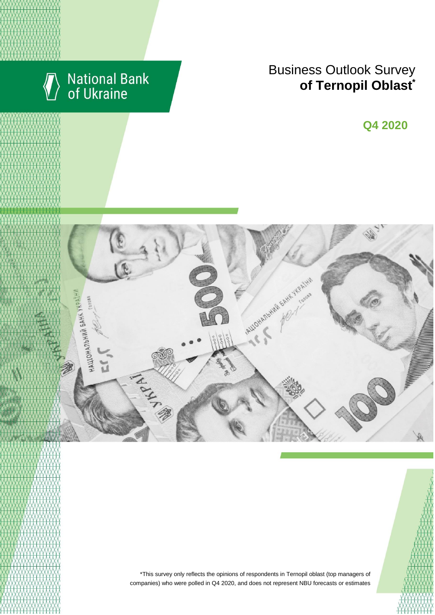

# National Bank<br>of Ukraine

## Business Outlook Survey **c**  $\blacksquare$  **of Ternopil Oblast**<sup>\*</sup>

**Q2 2018 Q4 2020**



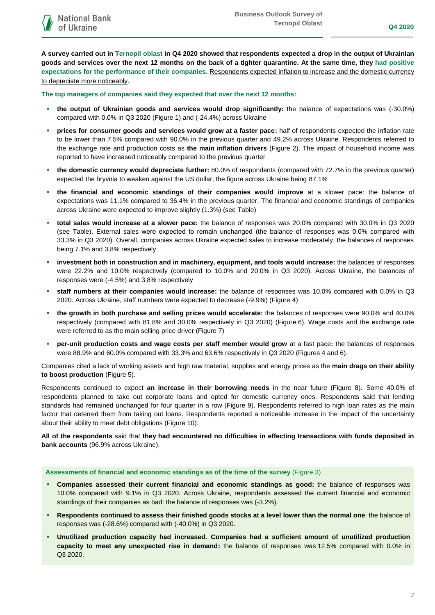**A survey carried out in Ternopil oblast in Q4 2020 showed that respondents expected a drop in the output of Ukrainian goods and services over the next 12 months on the back of a tighter quarantine. At the same time, they had positive expectations for the performance of their companies.** Respondents expected inflation to increase and the domestic currency to depreciate more noticeably.

**The top managers of companies said they expected that over the next 12 months:**

- **the output of Ukrainian goods and services would drop significantly:** the balance of expectations was (-30.0%) compared with 0.0% in Q3 2020 (Figure 1) and (-24.4%) across Ukraine
- **prices for consumer goods and services would grow at a faster pace:** half of respondents expected the inflation rate to be lower than 7.5% compared with 90.0% in the previous quarter and 49.2% across Ukraine. Respondents referred to the exchange rate and production costs as **the main inflation drivers** (Figure 2). The impact of household income was reported to have increased noticeably compared to the previous quarter
- **the domestic currency would depreciate further:** 80.0% of respondents (compared with 72.7% in the previous quarter) expected the hryvnia to weaken against the US dollar, the figure across Ukraine being 87.1%
- **the financial and economic standings of their companies would improve** at a slower pace: the balance of expectations was 11.1% compared to 36.4% in the previous quarter. The financial and economic standings of companies across Ukraine were expected to improve slightly (1.3%) (see Table)
- **total sales would increase at a slower pace:** the balance of responses was 20.0% compared with 30.0% in Q3 2020 (see Table). External sales were expected to remain unchanged (the balance of responses was 0.0% compared with 33.3% in Q3 2020). Overall, companies across Ukraine expected sales to increase moderately, the balances of responses being 7.1% and 3.8% respectively
- **investment both in construction and in machinery, equipment, and tools would increase:** the balances of responses were 22.2% and 10.0% respectively (compared to 10.0% and 20.0% in Q3 2020). Across Ukraine, the balances of responses were (-4.5%) and 3.8% respectively
- **staff numbers at their companies would increase:** the balance of responses was 10.0% compared with 0.0% in Q3 2020. Across Ukraine, staff numbers were expected to decrease (-9.9%) (Figure 4)
- **the growth in both purchase and selling prices would accelerate:** the balances of responses were 90.0% and 40.0% respectively (compared with 81.8% and 30.0% respectively in Q3 2020) (Figure 6). Wage costs and the exchange rate were referred to as the main selling price driver (Figure 7)
- **per-unit production costs and wage costs per staff member would grow** at a fast pace**:** the balances of responses were 88.9% and 60.0% compared with 33.3% and 63.6% respectively in Q3 2020 (Figures 4 and 6).

Companies cited a lack of working assets and high raw material, supplies and energy prices as the **main drags on their ability to boost production** (Figure 5).

Respondents continued to expect **an increase in their borrowing needs** in the near future (Figure 8). Some 40.0% of respondents planned to take out corporate loans and opted for domestic currency ones. Respondents said that lending standards had remained unchanged for four quarter in a row (Figure 9). Respondents referred to high loan rates as the main factor that deterred them from taking out loans. Respondents reported a noticeable increase in the impact of the uncertainty about their ability to meet debt obligations (Figure 10).

**All of the respondents** said that **they had encountered no difficulties in effecting transactions with funds deposited in bank accounts** (96.9% across Ukraine).

**Assessments of financial and economic standings as of the time of the survey** (Figure 3)

- **Companies assessed their current financial and economic standings as good:** the balance of responses was 10.0% compared with 9.1% in Q3 2020. Across Ukraine, respondents assessed the current financial and economic standings of their companies as bad: the balance of responses was (-3.2%).
- **Respondents continued to assess their finished goods stocks at a level lower than the normal one**: the balance of responses was (-28.6%) compared with (-40.0%) in Q3 2020.
- **Unutilized production capacity had increased. Companies had a sufficient amount of unutilized production capacity to meet any unexpected rise in demand:** the balance of responses was 12.5% compared with 0.0% in Q3 2020.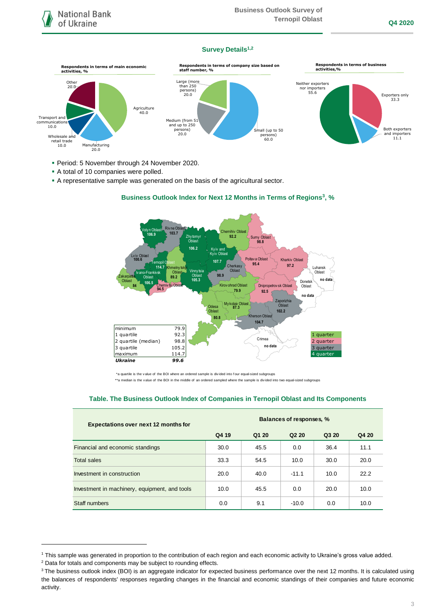## **Survey Details1,2**



- Period: 5 November through 24 November 2020.
- A total of 10 companies were polled.
- A representative sample was generated on the basis of the agricultural sector.



## **Business Outlook Index for Next 12 Months in Terms of Regions<sup>3</sup>, %**

\*a quartile is the v alue of the BOI where an ordered sample is div ided into f our equal-sized subgroups

\*\*a median is the v alue of the BOI in the middle of an ordered sampled where the sample is divided into two equal-sized subgroups

#### **Table. The Business Outlook Index of Companies in Ternopil Oblast and Its Components**

| <b>Expectations over next 12 months for</b>   | Balances of responses, % |       |                   |       |       |
|-----------------------------------------------|--------------------------|-------|-------------------|-------|-------|
|                                               | Q4 19                    | Q1 20 | Q <sub>2</sub> 20 | Q3 20 | Q4 20 |
| Financial and economic standings              | 30.0                     | 45.5  | 0.0               | 36.4  | 11.1  |
| Total sales                                   | 33.3                     | 54.5  | 10.0              | 30.0  | 20.0  |
| Investment in construction                    | 20.0                     | 40.0  | $-11.1$           | 10.0  | 22.2  |
| Investment in machinery, equipment, and tools | 10.0                     | 45.5  | 0.0               | 20.0  | 10.0  |
| Staff numbers                                 | 0.0                      | 9.1   | $-10.0$           | 0.0   | 10.0  |

<sup>2</sup> Data for totals and components may be subject to rounding effects.

1

<sup>1</sup> This sample was generated in proportion to the contribution of each region and each economic activity to Ukraine's gross value added.

<sup>&</sup>lt;sup>3</sup> The business outlook index (BOI) is an aggregate indicator for expected business performance over the next 12 months. It is calculated using the balances of respondents' responses regarding changes in the financial and economic standings of their companies and future economic activity.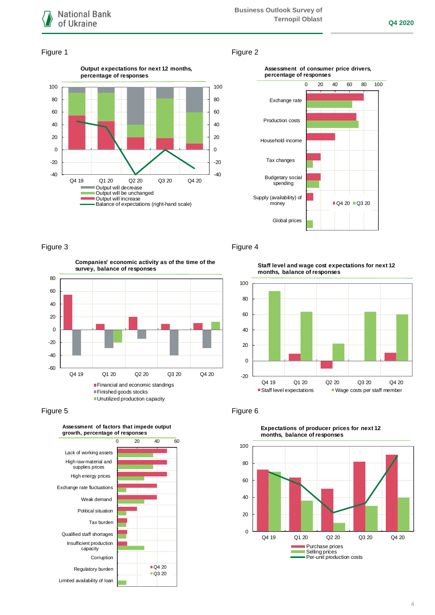

#### Figure 1 Figure 2





**Companies' economic activity as of the time of the survey, balance of responses**



## Figure 5 **Figure 6**



## Figure 3 Figure 4

**Staff level and wage cost expectations for next 12 months, balance of responses**





**Expectations of producer prices for next 12 months, balance of responses**